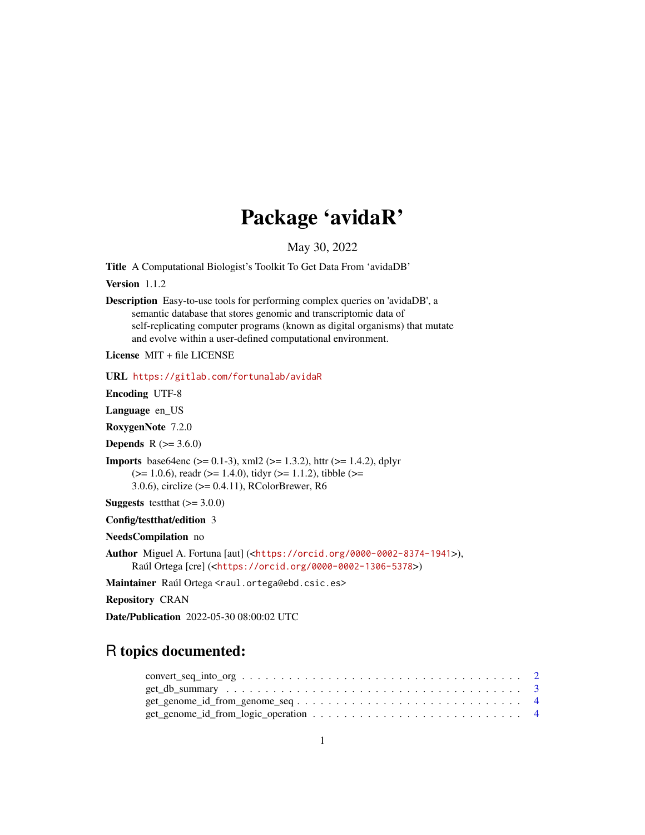## Package 'avidaR'

May 30, 2022

Title A Computational Biologist's Toolkit To Get Data From 'avidaDB'

Version 1.1.2

Description Easy-to-use tools for performing complex queries on 'avidaDB', a semantic database that stores genomic and transcriptomic data of self-replicating computer programs (known as digital organisms) that mutate and evolve within a user-defined computational environment.

License MIT + file LICENSE

URL <https://gitlab.com/fortunalab/avidaR>

Encoding UTF-8

Language en\_US

RoxygenNote 7.2.0

**Depends**  $R$  ( $> = 3.6.0$ )

**Imports** base64enc ( $> = 0.1-3$ ), xml2 ( $> = 1.3.2$ ), httr ( $> = 1.4.2$ ), dplyr  $(>= 1.0.6)$ , readr  $(>= 1.4.0)$ , tidyr  $(>= 1.1.2)$ , tibble  $(>= 1.1.2)$ 3.0.6), circlize (>= 0.4.11), RColorBrewer, R6

**Suggests** test that  $(>= 3.0.0)$ 

Config/testthat/edition 3

NeedsCompilation no

Author Miguel A. Fortuna [aut] (<<https://orcid.org/0000-0002-8374-1941>>), Raúl Ortega [cre] (<<https://orcid.org/0000-0002-1306-5378>>)

Maintainer Raúl Ortega <raul.ortega@ebd.csic.es>

Repository CRAN

Date/Publication 2022-05-30 08:00:02 UTC

## R topics documented:

| $convert\_seq\_into\_org \dots \dots \dots \dots \dots \dots \dots \dots \dots \dots \dots \dots \dots \dots \dots \dots \dots \dots$ |  |
|---------------------------------------------------------------------------------------------------------------------------------------|--|
|                                                                                                                                       |  |
|                                                                                                                                       |  |
| $get\_genome_id\_from\_logic\_operation \dots \dots \dots \dots \dots \dots \dots \dots \dots \dots$                                  |  |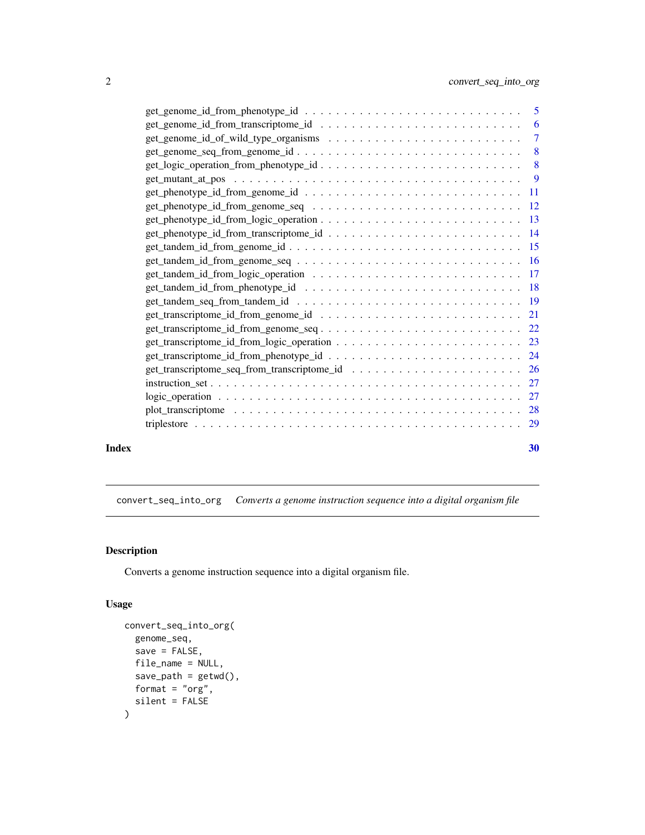<span id="page-1-0"></span>

| Index |                                                                                                                   | 30 |
|-------|-------------------------------------------------------------------------------------------------------------------|----|
|       |                                                                                                                   |    |
|       |                                                                                                                   |    |
|       |                                                                                                                   |    |
|       |                                                                                                                   |    |
|       |                                                                                                                   |    |
|       |                                                                                                                   |    |
|       |                                                                                                                   |    |
|       |                                                                                                                   |    |
|       |                                                                                                                   |    |
|       |                                                                                                                   |    |
|       |                                                                                                                   |    |
|       |                                                                                                                   |    |
|       | $get\_tandem_id\_from\_genome\_seq \dots \dots \dots \dots \dots \dots \dots \dots \dots \dots \dots \dots \dots$ |    |
|       |                                                                                                                   |    |
|       |                                                                                                                   |    |
|       |                                                                                                                   |    |
|       |                                                                                                                   |    |
|       |                                                                                                                   |    |
|       | $get\_mutant_at\_pos \dots \dots \dots \dots \dots \dots \dots \dots \dots \dots \dots \dots \dots \dots$         |    |
|       |                                                                                                                   |    |
|       |                                                                                                                   |    |
|       |                                                                                                                   |    |
|       |                                                                                                                   |    |
|       |                                                                                                                   |    |

convert\_seq\_into\_org *Converts a genome instruction sequence into a digital organism file*

## Description

Converts a genome instruction sequence into a digital organism file.

```
convert_seq_into_org(
  genome_seq,
  save = FALSE,file_name = NULL,
  save\_path = getwd(),
  format = "org",
  silent = FALSE
\mathcal{L}
```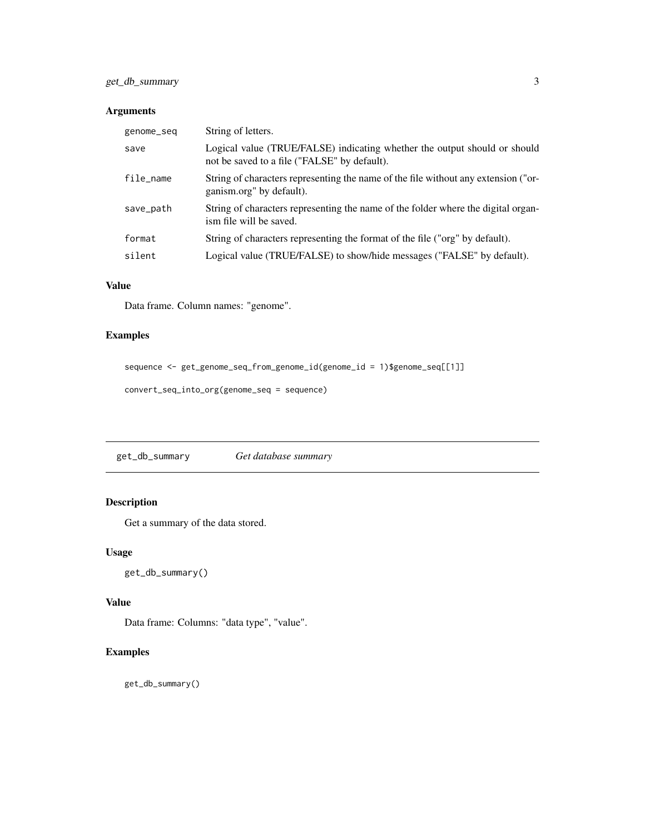## <span id="page-2-0"></span>get\_db\_summary 3

## Arguments

| genome_seq | String of letters.                                                                                                        |
|------------|---------------------------------------------------------------------------------------------------------------------------|
| save       | Logical value (TRUE/FALSE) indicating whether the output should or should<br>not be saved to a file ("FALSE" by default). |
| file_name  | String of characters representing the name of the file without any extension ("or-<br>ganism.org" by default).            |
| save_path  | String of characters representing the name of the folder where the digital organ-<br>ism file will be saved.              |
| format     | String of characters representing the format of the file ("org" by default).                                              |
| silent     | Logical value (TRUE/FALSE) to show/hide messages ("FALSE" by default).                                                    |

## Value

Data frame. Column names: "genome".

## Examples

```
sequence <- get_genome_seq_from_genome_id(genome_id = 1)$genome_seq[[1]]
```

```
convert_seq_into_org(genome_seq = sequence)
```
get\_db\_summary *Get database summary*

## Description

Get a summary of the data stored.

## Usage

```
get_db_summary()
```
#### Value

Data frame: Columns: "data type", "value".

## Examples

get\_db\_summary()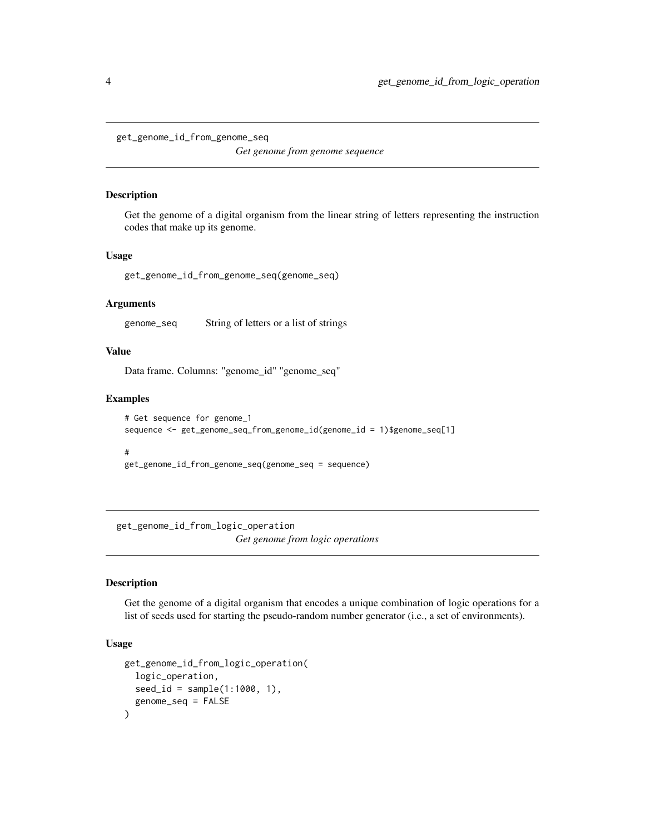<span id="page-3-0"></span>get\_genome\_id\_from\_genome\_seq

*Get genome from genome sequence*

#### Description

Get the genome of a digital organism from the linear string of letters representing the instruction codes that make up its genome.

#### Usage

get\_genome\_id\_from\_genome\_seq(genome\_seq)

#### Arguments

genome\_seq String of letters or a list of strings

#### Value

Data frame. Columns: "genome\_id" "genome\_seq"

## Examples

```
# Get sequence for genome_1
sequence <- get_genome_seq_from_genome_id(genome_id = 1)$genome_seq[1]
#
```

```
get_genome_id_from_genome_seq(genome_seq = sequence)
```
get\_genome\_id\_from\_logic\_operation *Get genome from logic operations*

## Description

Get the genome of a digital organism that encodes a unique combination of logic operations for a list of seeds used for starting the pseudo-random number generator (i.e., a set of environments).

```
get_genome_id_from_logic_operation(
  logic_operation,
  seed_id = sample(1:1000, 1),genome_seq = FALSE
)
```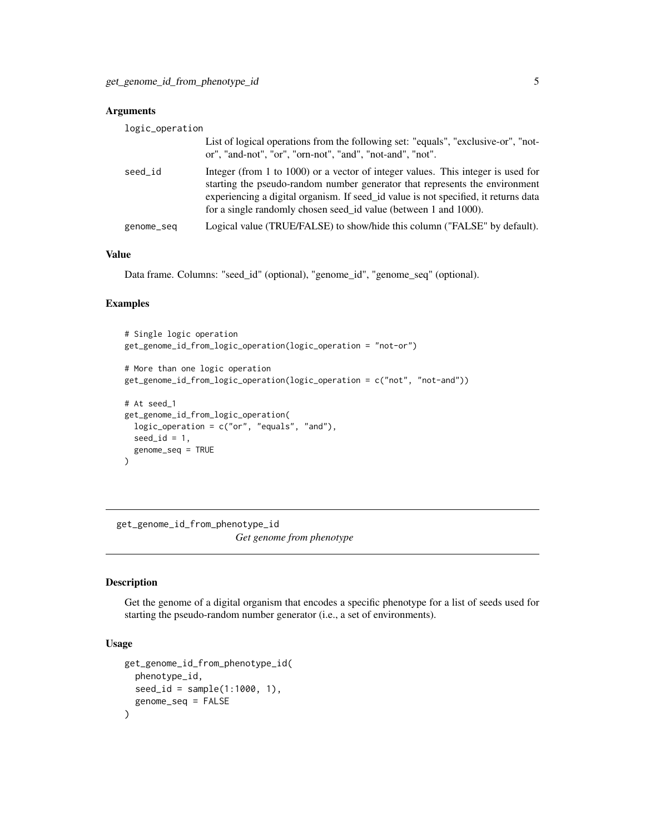<span id="page-4-0"></span>

| logic_operation |                                                                                                                                                                                                                                                                                                                            |
|-----------------|----------------------------------------------------------------------------------------------------------------------------------------------------------------------------------------------------------------------------------------------------------------------------------------------------------------------------|
|                 | List of logical operations from the following set: "equals", "exclusive-or", "not-<br>or", "and-not", "or", "orn-not", "and", "not-and", "not".                                                                                                                                                                            |
| seed_id         | Integer (from 1 to 1000) or a vector of integer values. This integer is used for<br>starting the pseudo-random number generator that represents the environment<br>experiencing a digital organism. If seed id value is not specified, it returns data<br>for a single randomly chosen seed id value (between 1 and 1000). |
| genome_seq      | Logical value (TRUE/FALSE) to show/hide this column ("FALSE" by default).                                                                                                                                                                                                                                                  |

## Value

Data frame. Columns: "seed\_id" (optional), "genome\_id", "genome\_seq" (optional).

## Examples

```
# Single logic operation
get_genome_id_from_logic_operation(logic_operation = "not-or")
# More than one logic operation
get_genome_id_from_logic_operation(logic_operation = c("not", "not-and"))
# At seed_1
get_genome_id_from_logic_operation(
 logic_operation = c("or", "equals", "and"),
 seed_id = 1,
 genome_seq = TRUE
\mathcal{L}
```
get\_genome\_id\_from\_phenotype\_id *Get genome from phenotype*

## Description

Get the genome of a digital organism that encodes a specific phenotype for a list of seeds used for starting the pseudo-random number generator (i.e., a set of environments).

```
get_genome_id_from_phenotype_id(
  phenotype_id,
  seed_id = sample(1:1000, 1),genome_seq = FALSE
\mathcal{E}
```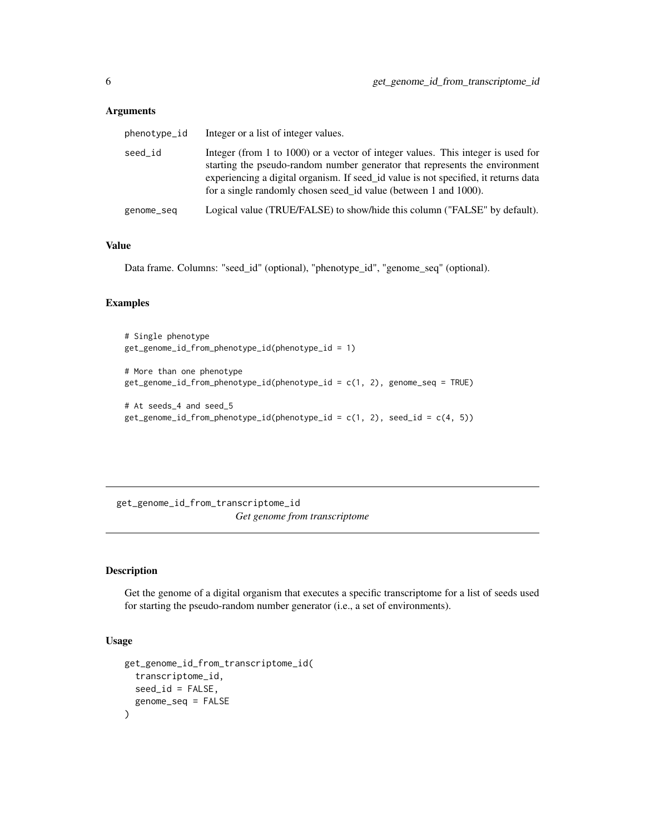<span id="page-5-0"></span>

| phenotype_id | Integer or a list of integer values.                                                                                                                                                                                                                                                                                       |
|--------------|----------------------------------------------------------------------------------------------------------------------------------------------------------------------------------------------------------------------------------------------------------------------------------------------------------------------------|
| seed_id      | Integer (from 1 to 1000) or a vector of integer values. This integer is used for<br>starting the pseudo-random number generator that represents the environment<br>experiencing a digital organism. If seed_id value is not specified, it returns data<br>for a single randomly chosen seed id value (between 1 and 1000). |
| genome_seq   | Logical value (TRUE/FALSE) to show/hide this column ("FALSE" by default).                                                                                                                                                                                                                                                  |

## Value

Data frame. Columns: "seed\_id" (optional), "phenotype\_id", "genome\_seq" (optional).

## Examples

```
# Single phenotype
get_genome_id_from_phenotype_id(phenotype_id = 1)
# More than one phenotype
get_genome_id_from_phenotype_id(phenotype_id = c(1, 2), genome_seq = TRUE)
# At seeds_4 and seed_5
get\_genome_id\_from\_phenotype_id(phenotype_id = c(1, 2), seed_id = c(4, 5))
```
get\_genome\_id\_from\_transcriptome\_id *Get genome from transcriptome*

## Description

Get the genome of a digital organism that executes a specific transcriptome for a list of seeds used for starting the pseudo-random number generator (i.e., a set of environments).

```
get_genome_id_from_transcriptome_id(
  transcriptome_id,
  seed_id = FALSE,
  genome_seq = FALSE
\mathcal{E}
```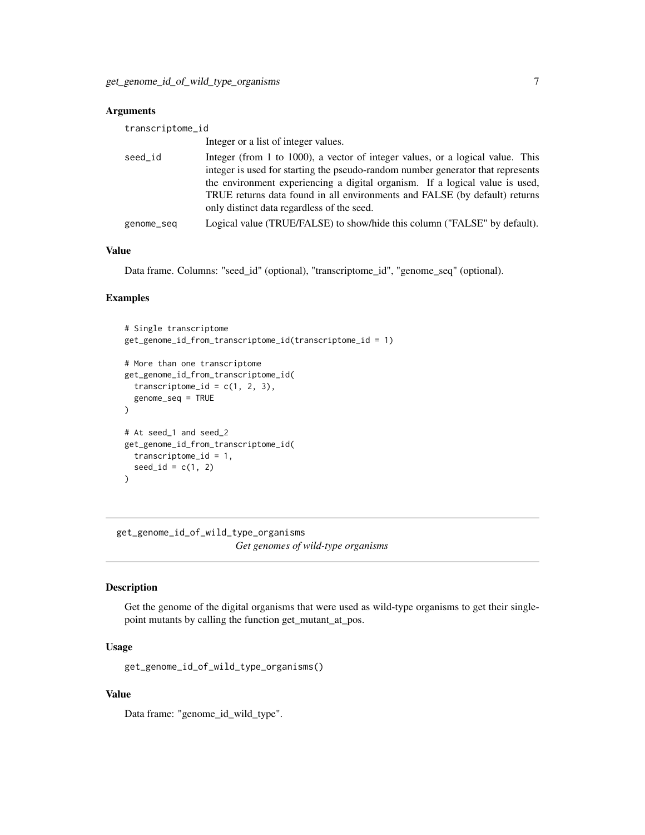<span id="page-6-0"></span>

| transcriptome_id |                                                                                                                                                                                                                                                                                                                                                                               |
|------------------|-------------------------------------------------------------------------------------------------------------------------------------------------------------------------------------------------------------------------------------------------------------------------------------------------------------------------------------------------------------------------------|
|                  | Integer or a list of integer values.                                                                                                                                                                                                                                                                                                                                          |
| seed_id          | Integer (from 1 to 1000), a vector of integer values, or a logical value. This<br>integer is used for starting the pseudo-random number generator that represents<br>the environment experiencing a digital organism. If a logical value is used,<br>TRUE returns data found in all environments and FALSE (by default) returns<br>only distinct data regardless of the seed. |
| genome_seq       | Logical value (TRUE/FALSE) to show/hide this column ("FALSE" by default).                                                                                                                                                                                                                                                                                                     |

## Value

Data frame. Columns: "seed\_id" (optional), "transcriptome\_id", "genome\_seq" (optional).

#### Examples

```
# Single transcriptome
get_genome_id_from_transcriptome_id(transcriptome_id = 1)
# More than one transcriptome
get_genome_id_from_transcriptome_id(
  transcriptome_id = c(1, 2, 3),
  genome_seq = TRUE
\lambda# At seed_1 and seed_2
get_genome_id_from_transcriptome_id(
  transcriptome_id = 1,
  seed_id = c(1, 2))
```
get\_genome\_id\_of\_wild\_type\_organisms

*Get genomes of wild-type organisms*

#### Description

Get the genome of the digital organisms that were used as wild-type organisms to get their singlepoint mutants by calling the function get\_mutant\_at\_pos.

## Usage

get\_genome\_id\_of\_wild\_type\_organisms()

## Value

Data frame: "genome\_id\_wild\_type".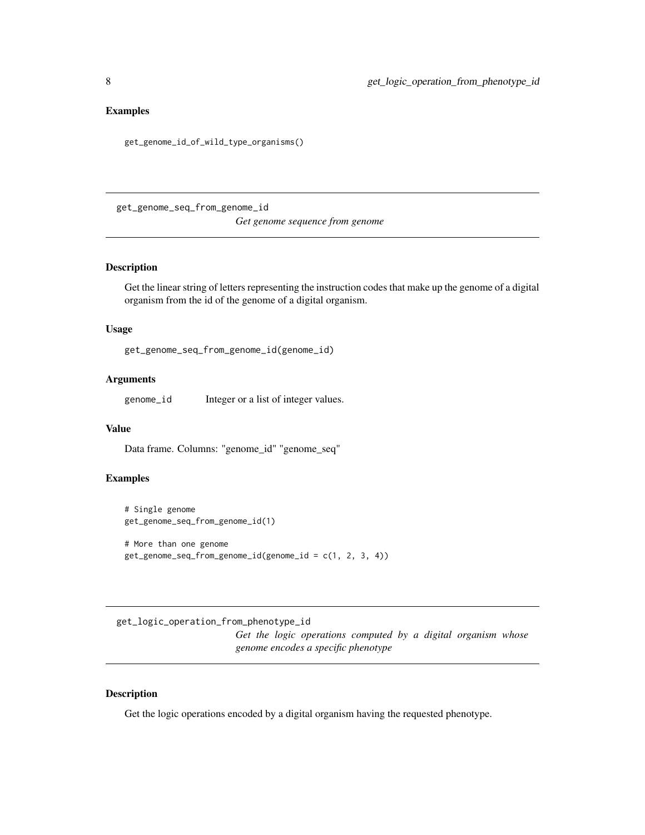#### <span id="page-7-0"></span>Examples

get\_genome\_id\_of\_wild\_type\_organisms()

get\_genome\_seq\_from\_genome\_id

*Get genome sequence from genome*

## Description

Get the linear string of letters representing the instruction codes that make up the genome of a digital organism from the id of the genome of a digital organism.

## Usage

get\_genome\_seq\_from\_genome\_id(genome\_id)

## Arguments

genome\_id Integer or a list of integer values.

## Value

Data frame. Columns: "genome\_id" "genome\_seq"

#### Examples

```
# Single genome
get_genome_seq_from_genome_id(1)
# More than one genome
get_genome_seq_from_genome_id(genome_id = c(1, 2, 3, 4))
```
get\_logic\_operation\_from\_phenotype\_id

*Get the logic operations computed by a digital organism whose genome encodes a specific phenotype*

## Description

Get the logic operations encoded by a digital organism having the requested phenotype.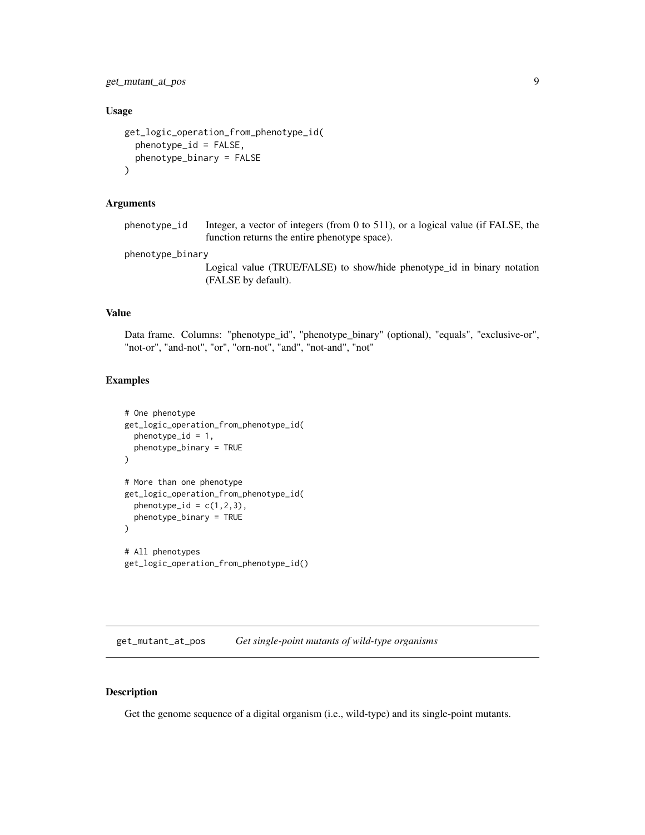<span id="page-8-0"></span>get\_mutant\_at\_pos 9

#### Usage

```
get_logic_operation_from_phenotype_id(
  phenotype_id = FALSE,
  phenotype_binary = FALSE
\mathcal{L}
```
#### Arguments

phenotype\_id Integer, a vector of integers (from 0 to 511), or a logical value (if FALSE, the function returns the entire phenotype space).

phenotype\_binary

Logical value (TRUE/FALSE) to show/hide phenotype\_id in binary notation (FALSE by default).

## Value

Data frame. Columns: "phenotype\_id", "phenotype\_binary" (optional), "equals", "exclusive-or", "not-or", "and-not", "or", "orn-not", "and", "not-and", "not"

#### Examples

```
# One phenotype
get_logic_operation_from_phenotype_id(
  phenotype_id = 1,
  phenotype_binary = TRUE
\mathcal{L}# More than one phenotype
get_logic_operation_from_phenotype_id(
  phenotype_id = c(1,2,3),
  phenotype_binary = TRUE
\mathcal{L}# All phenotypes
get_logic_operation_from_phenotype_id()
```
get\_mutant\_at\_pos *Get single-point mutants of wild-type organisms*

#### Description

Get the genome sequence of a digital organism (i.e., wild-type) and its single-point mutants.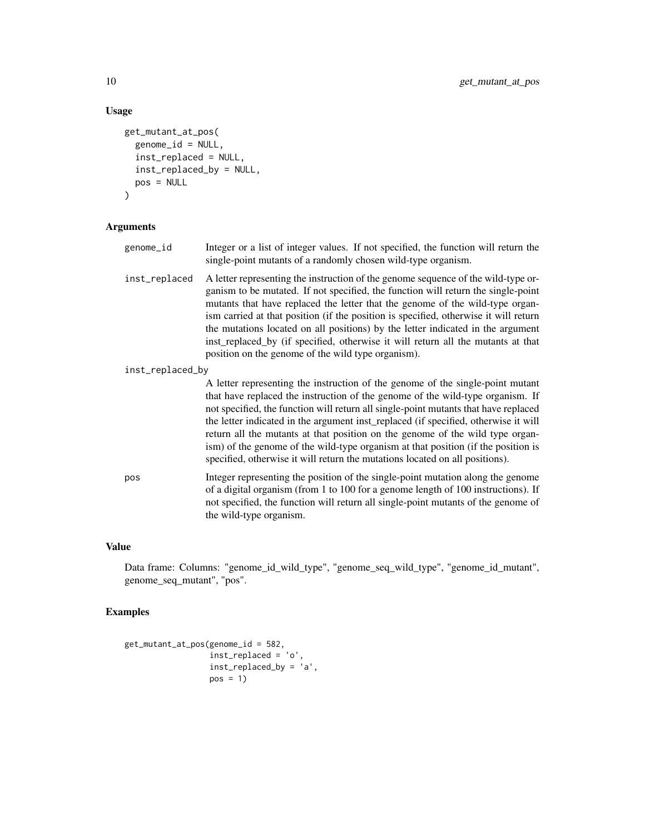## Usage

```
get_mutant_at_pos(
  genome_id = NULL,
  inst_replaced = NULL,
  inst_replaced_by = NULL,
  pos = NULL
)
```
## Arguments

| genome_id        | Integer or a list of integer values. If not specified, the function will return the<br>single-point mutants of a randomly chosen wild-type organism.                                                                                                                                                                                                                                                                                                                                                                                                                         |
|------------------|------------------------------------------------------------------------------------------------------------------------------------------------------------------------------------------------------------------------------------------------------------------------------------------------------------------------------------------------------------------------------------------------------------------------------------------------------------------------------------------------------------------------------------------------------------------------------|
| inst_replaced    | A letter representing the instruction of the genome sequence of the wild-type or-<br>ganism to be mutated. If not specified, the function will return the single-point<br>mutants that have replaced the letter that the genome of the wild-type organ-<br>ism carried at that position (if the position is specified, otherwise it will return<br>the mutations located on all positions) by the letter indicated in the argument<br>inst_replaced_by (if specified, otherwise it will return all the mutants at that<br>position on the genome of the wild type organism). |
| inst_replaced_by |                                                                                                                                                                                                                                                                                                                                                                                                                                                                                                                                                                              |
|                  | A letter representing the instruction of the genome of the single-point mutant<br>that have confirmed the instrumential of the company of the collections considered If                                                                                                                                                                                                                                                                                                                                                                                                      |

that have replaced the instruction of the genome of the wild-type organism. If not specified, the function will return all single-point mutants that have replaced the letter indicated in the argument inst\_replaced (if specified, otherwise it will return all the mutants at that position on the genome of the wild type organism) of the genome of the wild-type organism at that position (if the position is specified, otherwise it will return the mutations located on all positions).

pos Integer representing the position of the single-point mutation along the genome of a digital organism (from 1 to 100 for a genome length of 100 instructions). If not specified, the function will return all single-point mutants of the genome of the wild-type organism.

## Value

Data frame: Columns: "genome\_id\_wild\_type", "genome\_seq\_wild\_type", "genome\_id\_mutant", genome\_seq\_mutant", "pos".

```
get_mutant_at_pos(genome_id = 582,
                 inst_replaced = 'o',
                 inst_replaced_by = 'a',
                 pos = 1)
```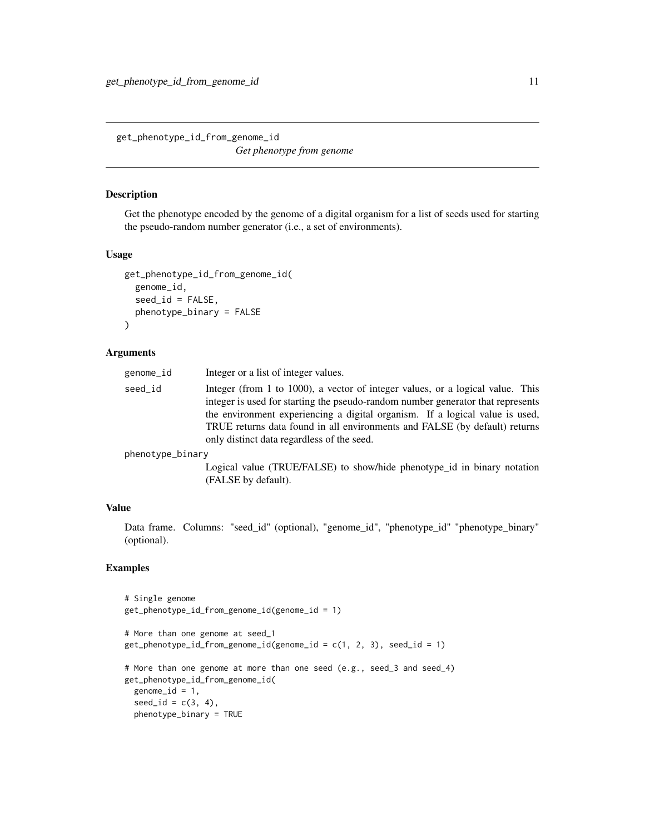<span id="page-10-0"></span>get\_phenotype\_id\_from\_genome\_id *Get phenotype from genome*

#### Description

Get the phenotype encoded by the genome of a digital organism for a list of seeds used for starting the pseudo-random number generator (i.e., a set of environments).

#### Usage

```
get_phenotype_id_from_genome_id(
  genome_id,
 seed_id = FALSE,phenotype_binary = FALSE
)
```
#### Arguments

| genome_id | Integer or a list of integer values.                                                                                                                                                                                                                                                                                                                                          |
|-----------|-------------------------------------------------------------------------------------------------------------------------------------------------------------------------------------------------------------------------------------------------------------------------------------------------------------------------------------------------------------------------------|
| seed id   | Integer (from 1 to 1000), a vector of integer values, or a logical value. This<br>integer is used for starting the pseudo-random number generator that represents<br>the environment experiencing a digital organism. If a logical value is used,<br>TRUE returns data found in all environments and FALSE (by default) returns<br>only distinct data regardless of the seed. |
|           |                                                                                                                                                                                                                                                                                                                                                                               |

phenotype\_binary

Logical value (TRUE/FALSE) to show/hide phenotype\_id in binary notation (FALSE by default).

#### Value

Data frame. Columns: "seed\_id" (optional), "genome\_id", "phenotype\_id" "phenotype\_binary" (optional).

```
# Single genome
get_phenotype_id_from_genome_id(genome_id = 1)
# More than one genome at seed_1
get\_phenotype_id\_from\_genome_id(genome_id = c(1, 2, 3), seed_id = 1)# More than one genome at more than one seed (e.g., seed_3 and seed_4)
get_phenotype_id_from_genome_id(
 genome_id = 1,seed_id = c(3, 4),phenotype_binary = TRUE
```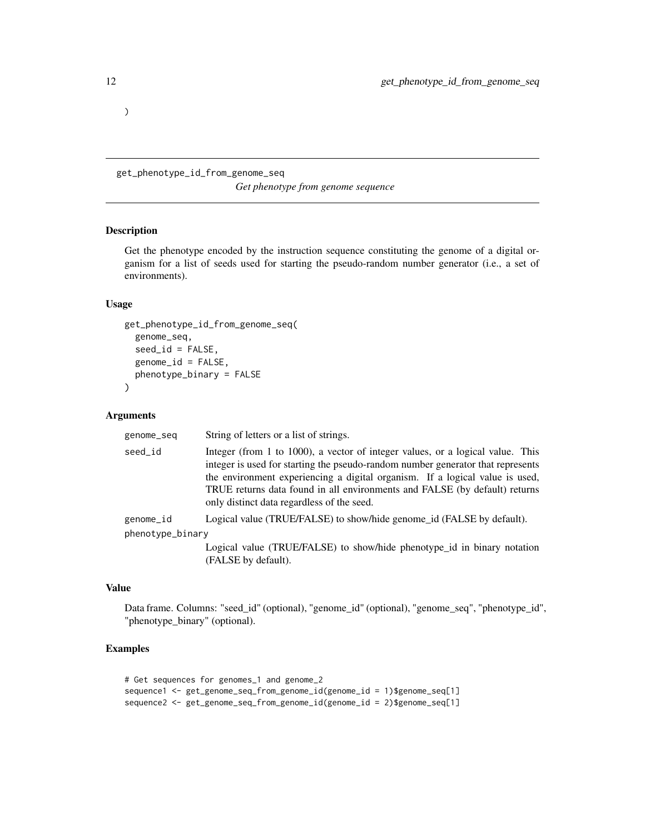get\_phenotype\_id\_from\_genome\_seq *Get phenotype from genome sequence*

## Description

Get the phenotype encoded by the instruction sequence constituting the genome of a digital organism for a list of seeds used for starting the pseudo-random number generator (i.e., a set of environments).

## Usage

```
get_phenotype_id_from_genome_seq(
  genome_seq,
  seed_id = FALSE,
  genome_id = FALSE,
 phenotype_binary = FALSE
)
```
#### Arguments

| genome_seq       | String of letters or a list of strings.                                                                                                                                                                                                                                                                                                                                       |
|------------------|-------------------------------------------------------------------------------------------------------------------------------------------------------------------------------------------------------------------------------------------------------------------------------------------------------------------------------------------------------------------------------|
| seed id          | Integer (from 1 to 1000), a vector of integer values, or a logical value. This<br>integer is used for starting the pseudo-random number generator that represents<br>the environment experiencing a digital organism. If a logical value is used,<br>TRUE returns data found in all environments and FALSE (by default) returns<br>only distinct data regardless of the seed. |
| genome_id        | Logical value (TRUE/FALSE) to show/hide genome_id (FALSE by default).                                                                                                                                                                                                                                                                                                         |
| phenotype_binary |                                                                                                                                                                                                                                                                                                                                                                               |
|                  | Logical value (TRUE/FALSE) to show/hide phenotype_id in binary notation                                                                                                                                                                                                                                                                                                       |

#### Value

Data frame. Columns: "seed\_id" (optional), "genome\_id" (optional), "genome\_seq", "phenotype\_id", "phenotype\_binary" (optional).

## Examples

```
# Get sequences for genomes_1 and genome_2
sequence1 <- get_genome_seq_from_genome_id(genome_id = 1)$genome_seq[1]
sequence2 <- get_genome_seq_from_genome_id(genome_id = 2)$genome_seq[1]
```
(FALSE by default).

#### <span id="page-11-0"></span> $\mathcal{L}$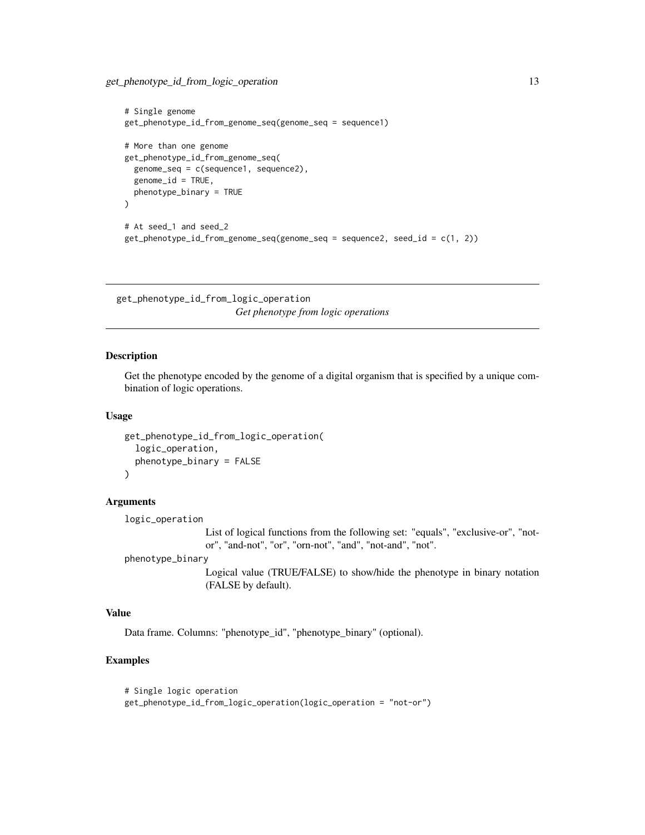```
# Single genome
get_phenotype_id_from_genome_seq(genome_seq = sequence1)
# More than one genome
get_phenotype_id_from_genome_seq(
 genome_seq = c(sequence1, sequence2),
 genome_id = TRUE,
 phenotype_binary = TRUE
\lambda# At seed_1 and seed_2
get_phenotype_id_from_genome_seq(genome_seq = sequence2, seed_id = c(1, 2))
```
get\_phenotype\_id\_from\_logic\_operation *Get phenotype from logic operations*

#### Description

Get the phenotype encoded by the genome of a digital organism that is specified by a unique combination of logic operations.

#### Usage

```
get_phenotype_id_from_logic_operation(
  logic_operation,
 phenotype_binary = FALSE
)
```
#### Arguments

logic\_operation

List of logical functions from the following set: "equals", "exclusive-or", "notor", "and-not", "or", "orn-not", "and", "not-and", "not".

phenotype\_binary

Logical value (TRUE/FALSE) to show/hide the phenotype in binary notation (FALSE by default).

#### Value

Data frame. Columns: "phenotype\_id", "phenotype\_binary" (optional).

## Examples

# Single logic operation get\_phenotype\_id\_from\_logic\_operation(logic\_operation = "not-or")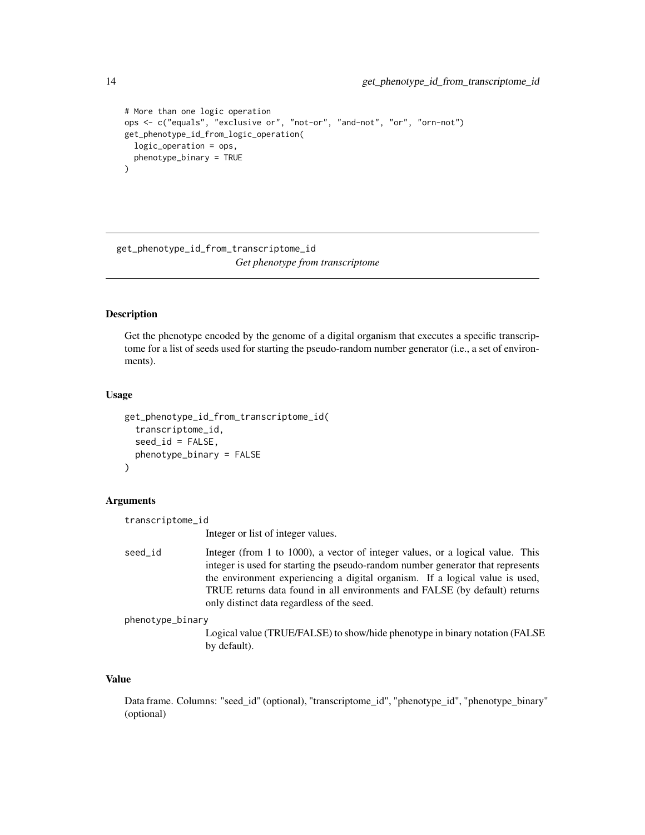```
# More than one logic operation
ops <- c("equals", "exclusive or", "not-or", "and-not", "or", "orn-not")
get_phenotype_id_from_logic_operation(
 logic_operation = ops,
 phenotype_binary = TRUE
\lambda
```
get\_phenotype\_id\_from\_transcriptome\_id *Get phenotype from transcriptome*

#### **Description**

Get the phenotype encoded by the genome of a digital organism that executes a specific transcriptome for a list of seeds used for starting the pseudo-random number generator (i.e., a set of environments).

#### Usage

```
get_phenotype_id_from_transcriptome_id(
  transcriptome_id,
  seed_id = FALSE,phenotype_binary = FALSE
)
```
#### Arguments

transcriptome\_id

Integer or list of integer values.

```
seed_id Integer (from 1 to 1000), a vector of integer values, or a logical value. This
                  integer is used for starting the pseudo-random number generator that represents
                  the environment experiencing a digital organism. If a logical value is used,
                  TRUE returns data found in all environments and FALSE (by default) returns
                  only distinct data regardless of the seed.
```
phenotype\_binary

Logical value (TRUE/FALSE) to show/hide phenotype in binary notation (FALSE by default).

## Value

Data frame. Columns: "seed\_id" (optional), "transcriptome\_id", "phenotype\_id", "phenotype\_binary" (optional)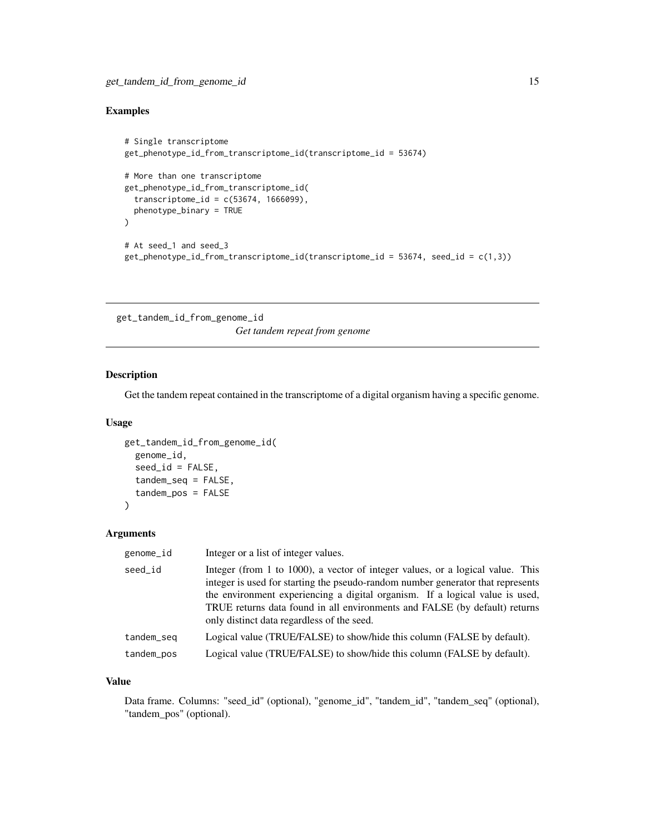## <span id="page-14-0"></span>Examples

```
# Single transcriptome
get_phenotype_id_from_transcriptome_id(transcriptome_id = 53674)
# More than one transcriptome
get_phenotype_id_from_transcriptome_id(
  transcriptome_id = c(53674, 1666099),
  phenotype_binary = TRUE
\mathcal{L}# At seed_1 and seed_3
get_phenotype_id_from_transcriptome_id(transcriptome_id = 53674, seed_id = c(1,3))
```
get\_tandem\_id\_from\_genome\_id *Get tandem repeat from genome*

#### Description

Get the tandem repeat contained in the transcriptome of a digital organism having a specific genome.

## Usage

```
get_tandem_id_from_genome_id(
  genome_id,
  seed_id = FALSE,tandem_seq = FALSE,
  tandem_pos = FALSE
\mathcal{L}
```
#### Arguments

| genome_id  | Integer or a list of integer values.                                                                                                                                                                                                                                                                                                                                          |
|------------|-------------------------------------------------------------------------------------------------------------------------------------------------------------------------------------------------------------------------------------------------------------------------------------------------------------------------------------------------------------------------------|
| seed_id    | Integer (from 1 to 1000), a vector of integer values, or a logical value. This<br>integer is used for starting the pseudo-random number generator that represents<br>the environment experiencing a digital organism. If a logical value is used,<br>TRUE returns data found in all environments and FALSE (by default) returns<br>only distinct data regardless of the seed. |
| tandem_seq | Logical value (TRUE/FALSE) to show/hide this column (FALSE by default).                                                                                                                                                                                                                                                                                                       |
| tandem_pos | Logical value (TRUE/FALSE) to show/hide this column (FALSE by default).                                                                                                                                                                                                                                                                                                       |
|            |                                                                                                                                                                                                                                                                                                                                                                               |

## Value

Data frame. Columns: "seed\_id" (optional), "genome\_id", "tandem\_id", "tandem\_seq" (optional), "tandem\_pos" (optional).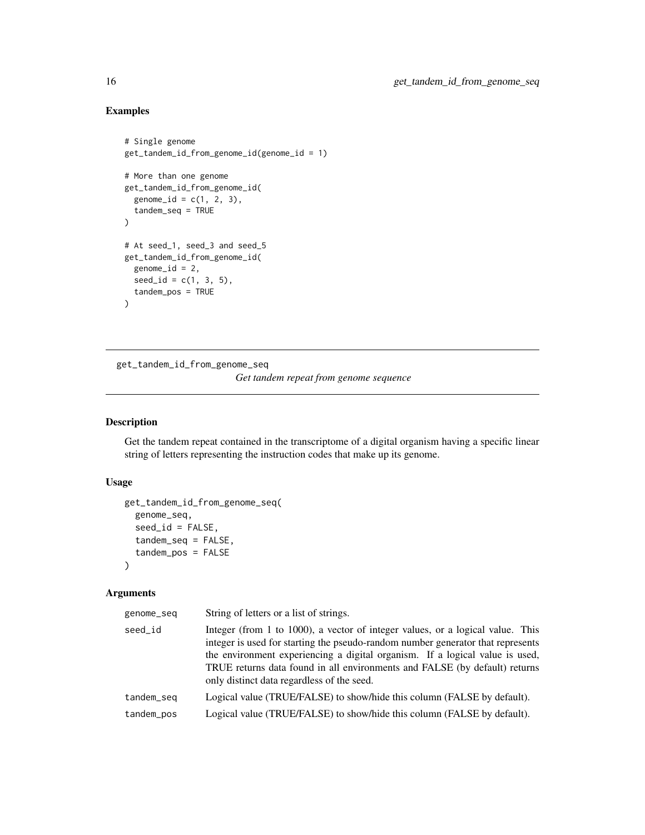## Examples

```
# Single genome
get_tandem_id_from_genome_id(genome_id = 1)
# More than one genome
get_tandem_id_from_genome_id(
  genome_id = c(1, 2, 3),tandem_seq = TRUE
)
# At seed_1, seed_3 and seed_5
get_tandem_id_from_genome_id(
 genome_id = 2,seed_id = c(1, 3, 5),tandem_pos = TRUE
\mathcal{L}
```
get\_tandem\_id\_from\_genome\_seq *Get tandem repeat from genome sequence*

## Description

Get the tandem repeat contained in the transcriptome of a digital organism having a specific linear string of letters representing the instruction codes that make up its genome.

## Usage

```
get_tandem_id_from_genome_seq(
  genome_seq,
  seed_id = FALSE,
  tandem_seq = FALSE,
  tandem_pos = FALSE
\lambda
```
## Arguments

| genome_seq | String of letters or a list of strings.                                                                                                                                                                                                                                                                                                                                       |
|------------|-------------------------------------------------------------------------------------------------------------------------------------------------------------------------------------------------------------------------------------------------------------------------------------------------------------------------------------------------------------------------------|
| seed_id    | Integer (from 1 to 1000), a vector of integer values, or a logical value. This<br>integer is used for starting the pseudo-random number generator that represents<br>the environment experiencing a digital organism. If a logical value is used,<br>TRUE returns data found in all environments and FALSE (by default) returns<br>only distinct data regardless of the seed. |
| tandem_seq | Logical value (TRUE/FALSE) to show/hide this column (FALSE by default).                                                                                                                                                                                                                                                                                                       |
| tandem_pos | Logical value (TRUE/FALSE) to show/hide this column (FALSE by default).                                                                                                                                                                                                                                                                                                       |
|            |                                                                                                                                                                                                                                                                                                                                                                               |

<span id="page-15-0"></span>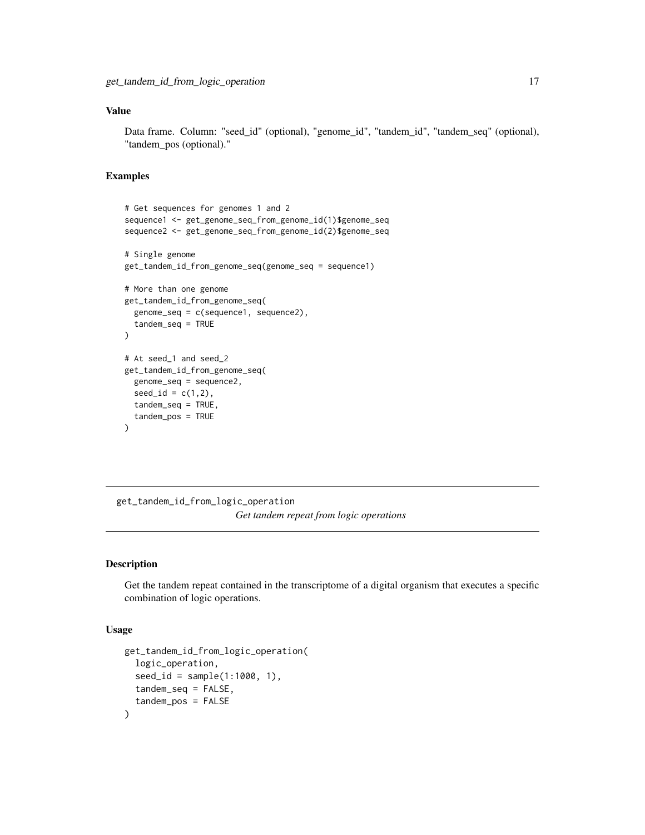#### <span id="page-16-0"></span>Value

Data frame. Column: "seed\_id" (optional), "genome\_id", "tandem\_id", "tandem\_seq" (optional), "tandem\_pos (optional)."

#### Examples

```
# Get sequences for genomes 1 and 2
sequence1 <- get_genome_seq_from_genome_id(1)$genome_seq
sequence2 <- get_genome_seq_from_genome_id(2)$genome_seq
# Single genome
get_tandem_id_from_genome_seq(genome_seq = sequence1)
# More than one genome
get_tandem_id_from_genome_seq(
  genome_seq = c(sequence1, sequence2),
  tandem_seq = TRUE
)
# At seed_1 and seed_2
get_tandem_id_from_genome_seq(
  genome_seq = sequence2,
  seed_id = c(1,2),
  tandem_seq = TRUE,
  tandem_pos = TRUE
\mathcal{L}
```
get\_tandem\_id\_from\_logic\_operation *Get tandem repeat from logic operations*

## Description

Get the tandem repeat contained in the transcriptome of a digital organism that executes a specific combination of logic operations.

```
get_tandem_id_from_logic_operation(
 logic_operation,
  seed_id = sample(1:1000, 1),tandem_seq = FALSE,
  tandem_pos = FALSE
)
```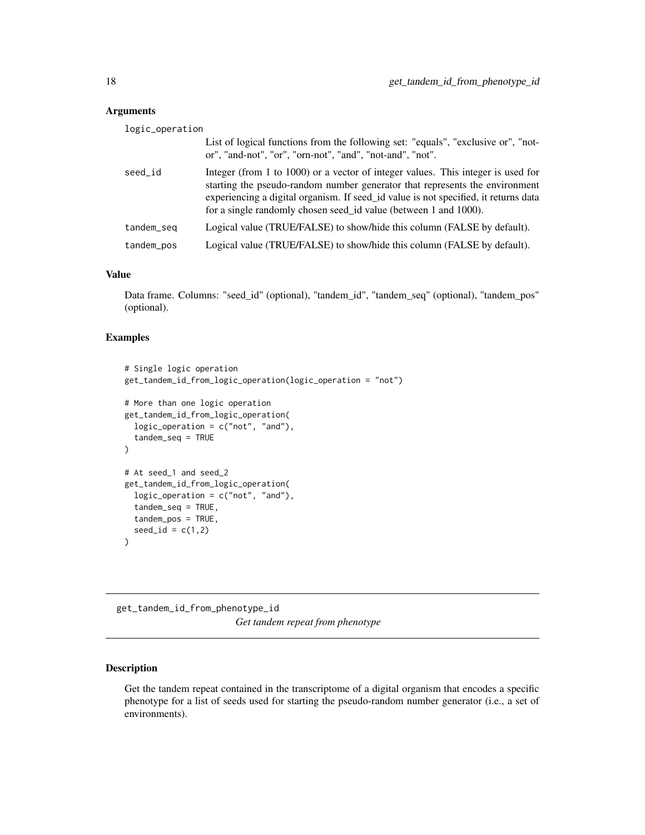<span id="page-17-0"></span>

| logic_operation |                                                                                                                                                                                                                                                                                                                            |
|-----------------|----------------------------------------------------------------------------------------------------------------------------------------------------------------------------------------------------------------------------------------------------------------------------------------------------------------------------|
|                 | List of logical functions from the following set: "equals", "exclusive or", "not-<br>or", "and-not", "or", "orn-not", "and", "not-and", "not".                                                                                                                                                                             |
| seed_id         | Integer (from 1 to 1000) or a vector of integer values. This integer is used for<br>starting the pseudo-random number generator that represents the environment<br>experiencing a digital organism. If seed_id value is not specified, it returns data<br>for a single randomly chosen seed id value (between 1 and 1000). |
| tandem_seq      | Logical value (TRUE/FALSE) to show/hide this column (FALSE by default).                                                                                                                                                                                                                                                    |
| tandem_pos      | Logical value (TRUE/FALSE) to show/hide this column (FALSE by default).                                                                                                                                                                                                                                                    |

## Value

Data frame. Columns: "seed\_id" (optional), "tandem\_id", "tandem\_seq" (optional), "tandem\_pos" (optional).

## Examples

```
# Single logic operation
get_tandem_id_from_logic_operation(logic_operation = "not")
# More than one logic operation
get_tandem_id_from_logic_operation(
  logic_operation = c("not", "and"),
  tandem_seq = TRUE
\mathcal{L}# At seed_1 and seed_2
get_tandem_id_from_logic_operation(
  logic_operation = c("not", "and"),
  tandem_seq = TRUE,
  tandem_pos = TRUE,
  seed_id = c(1,2))
```
get\_tandem\_id\_from\_phenotype\_id *Get tandem repeat from phenotype*

## Description

Get the tandem repeat contained in the transcriptome of a digital organism that encodes a specific phenotype for a list of seeds used for starting the pseudo-random number generator (i.e., a set of environments).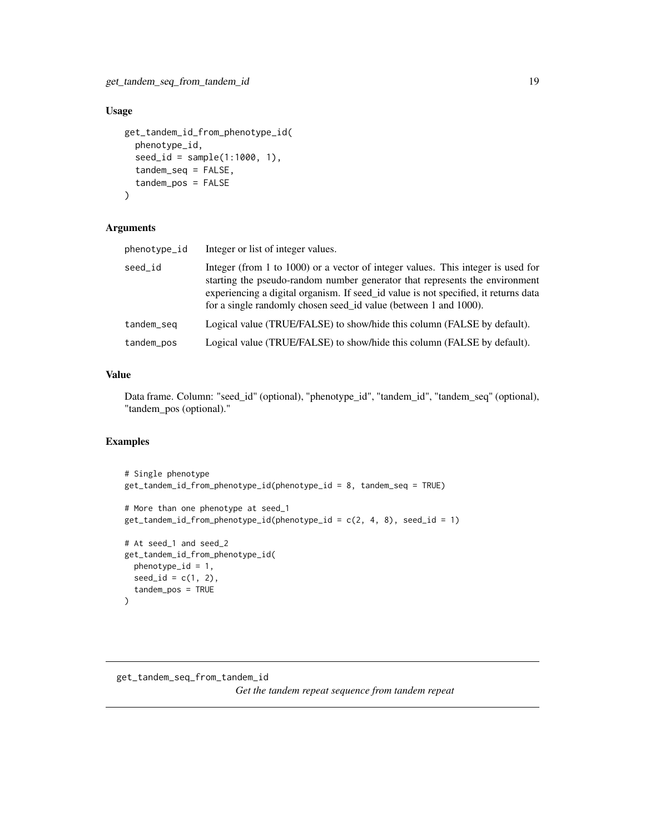## <span id="page-18-0"></span>Usage

```
get_tandem_id_from_phenotype_id(
  phenotype_id,
  seed_id = sample(1:1000, 1),tandem_seq = FALSE,
  tandem_pos = FALSE
\lambda
```
## Arguments

| phenotype_id | Integer or list of integer values.                                                                                                                                                                                                                                                                                         |
|--------------|----------------------------------------------------------------------------------------------------------------------------------------------------------------------------------------------------------------------------------------------------------------------------------------------------------------------------|
| seed_id      | Integer (from 1 to 1000) or a vector of integer values. This integer is used for<br>starting the pseudo-random number generator that represents the environment<br>experiencing a digital organism. If seed_id value is not specified, it returns data<br>for a single randomly chosen seed_id value (between 1 and 1000). |
| tandem_seq   | Logical value (TRUE/FALSE) to show/hide this column (FALSE by default).                                                                                                                                                                                                                                                    |
| tandem_pos   | Logical value (TRUE/FALSE) to show/hide this column (FALSE by default).                                                                                                                                                                                                                                                    |

#### Value

Data frame. Column: "seed\_id" (optional), "phenotype\_id", "tandem\_id", "tandem\_seq" (optional), "tandem\_pos (optional)."

```
# Single phenotype
get_tandem_id_from_phenotype_id(phenotype_id = 8, tandem_seq = TRUE)
# More than one phenotype at seed_1
get\_tandem_id_from_phenotype_id(phenotype_id = c(2, 4, 8), seed_id = 1)
# At seed_1 and seed_2
get_tandem_id_from_phenotype_id(
  phenotype_id = 1,
  seed_id = c(1, 2),
  tandem_pos = TRUE
)
```
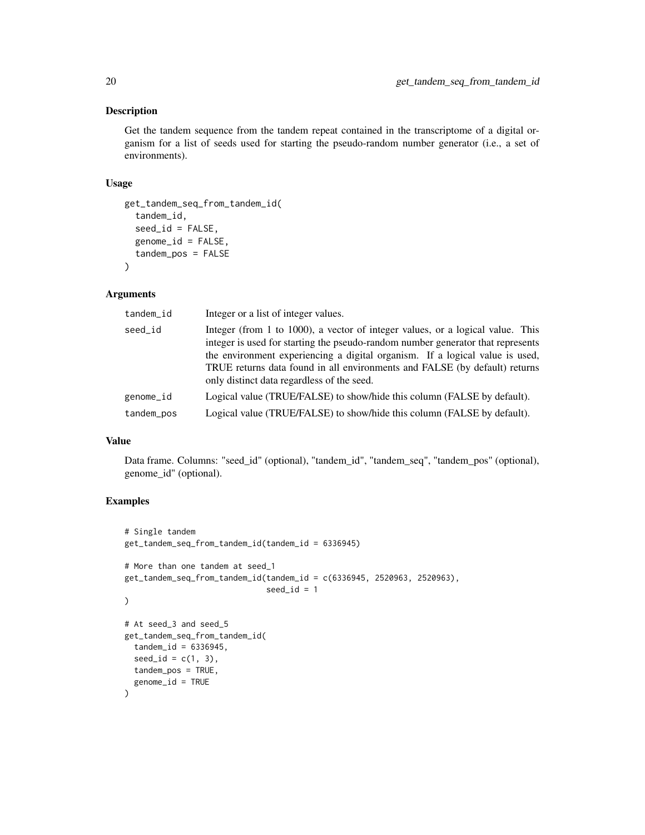## Description

Get the tandem sequence from the tandem repeat contained in the transcriptome of a digital organism for a list of seeds used for starting the pseudo-random number generator (i.e., a set of environments).

#### Usage

```
get_tandem_seq_from_tandem_id(
  tandem_id,
  seed_id = FALSE,genome_id = FALSE,
  tandem_pos = FALSE
)
```
#### Arguments

| tandem_id  | Integer or a list of integer values.                                                                                                                                                                                                                                                                                                                                          |
|------------|-------------------------------------------------------------------------------------------------------------------------------------------------------------------------------------------------------------------------------------------------------------------------------------------------------------------------------------------------------------------------------|
| seed_id    | Integer (from 1 to 1000), a vector of integer values, or a logical value. This<br>integer is used for starting the pseudo-random number generator that represents<br>the environment experiencing a digital organism. If a logical value is used,<br>TRUE returns data found in all environments and FALSE (by default) returns<br>only distinct data regardless of the seed. |
| genome_id  | Logical value (TRUE/FALSE) to show/hide this column (FALSE by default).                                                                                                                                                                                                                                                                                                       |
| tandem_pos | Logical value (TRUE/FALSE) to show/hide this column (FALSE by default).                                                                                                                                                                                                                                                                                                       |

## Value

Data frame. Columns: "seed\_id" (optional), "tandem\_id", "tandem\_seq", "tandem\_pos" (optional), genome\_id" (optional).

```
# Single tandem
get_tandem_seq_from_tandem_id(tandem_id = 6336945)
# More than one tandem at seed_1
get_tandem_seq_from_tandem_id(tandem_id = c(6336945, 2520963, 2520963),
                              seed_id = 1)
# At seed_3 and seed_5
get_tandem_seq_from_tandem_id(
 tandem_id = 6336945,seed_id = c(1, 3),
 tandem_pos = TRUE,
  genome_id = TRUE
)
```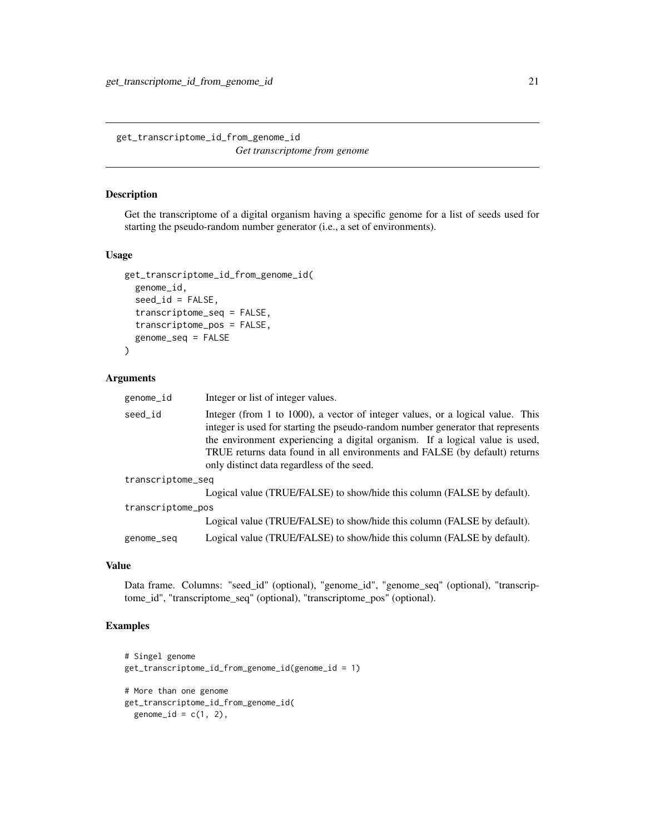<span id="page-20-0"></span>get\_transcriptome\_id\_from\_genome\_id *Get transcriptome from genome*

#### Description

Get the transcriptome of a digital organism having a specific genome for a list of seeds used for starting the pseudo-random number generator (i.e., a set of environments).

#### Usage

```
get_transcriptome_id_from_genome_id(
  genome_id,
  seed_id = FALSE,
  transcriptome_seq = FALSE,
  transcriptome_pos = FALSE,
  genome_seq = FALSE
)
```
#### Arguments

| genome_id         | Integer or list of integer values.                                                                                                                                                                                                                                                                                                                                            |
|-------------------|-------------------------------------------------------------------------------------------------------------------------------------------------------------------------------------------------------------------------------------------------------------------------------------------------------------------------------------------------------------------------------|
| seed_id           | Integer (from 1 to 1000), a vector of integer values, or a logical value. This<br>integer is used for starting the pseudo-random number generator that represents<br>the environment experiencing a digital organism. If a logical value is used,<br>TRUE returns data found in all environments and FALSE (by default) returns<br>only distinct data regardless of the seed. |
| transcriptome_seq |                                                                                                                                                                                                                                                                                                                                                                               |
|                   | Logical value (TRUE/FALSE) to show/hide this column (FALSE by default).                                                                                                                                                                                                                                                                                                       |
| transcriptome_pos |                                                                                                                                                                                                                                                                                                                                                                               |
|                   | Logical value (TRUE/FALSE) to show/hide this column (FALSE by default).                                                                                                                                                                                                                                                                                                       |
| genome_seq        | Logical value (TRUE/FALSE) to show/hide this column (FALSE by default).                                                                                                                                                                                                                                                                                                       |

#### Value

Data frame. Columns: "seed\_id" (optional), "genome\_id", "genome\_seq" (optional), "transcriptome\_id", "transcriptome\_seq" (optional), "transcriptome\_pos" (optional).

```
# Singel genome
get_transcriptome_id_from_genome_id(genome_id = 1)
# More than one genome
```

```
get_transcriptome_id_from_genome_id(
  genome_id = c(1, 2),
```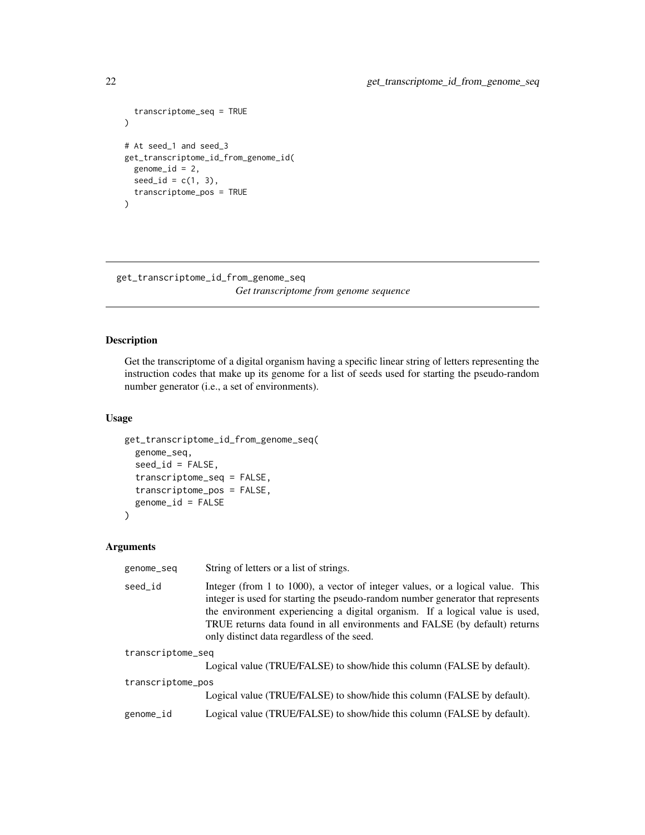```
transcriptome_seq = TRUE
\mathcal{L}# At seed_1 and seed_3
get_transcriptome_id_from_genome_id(
  genome_id = 2,seed_id = c(1, 3),transcriptome_pos = TRUE
\lambda
```
get\_transcriptome\_id\_from\_genome\_seq *Get transcriptome from genome sequence*

## Description

Get the transcriptome of a digital organism having a specific linear string of letters representing the instruction codes that make up its genome for a list of seeds used for starting the pseudo-random number generator (i.e., a set of environments).

## Usage

```
get_transcriptome_id_from_genome_seq(
  genome_seq,
  seed_id = FALSE,transcriptome_seq = FALSE,
  transcriptome_pos = FALSE,
  genome_id = FALSE
)
```
## Arguments

| genome_seq        | String of letters or a list of strings.                                                                                                                                                                                                                                                                                                                                       |
|-------------------|-------------------------------------------------------------------------------------------------------------------------------------------------------------------------------------------------------------------------------------------------------------------------------------------------------------------------------------------------------------------------------|
| seed_id           | Integer (from 1 to 1000), a vector of integer values, or a logical value. This<br>integer is used for starting the pseudo-random number generator that represents<br>the environment experiencing a digital organism. If a logical value is used,<br>TRUE returns data found in all environments and FALSE (by default) returns<br>only distinct data regardless of the seed. |
| transcriptome_seq |                                                                                                                                                                                                                                                                                                                                                                               |
|                   | Logical value (TRUE/FALSE) to show/hide this column (FALSE by default).                                                                                                                                                                                                                                                                                                       |
| transcriptome_pos |                                                                                                                                                                                                                                                                                                                                                                               |
|                   | Logical value (TRUE/FALSE) to show/hide this column (FALSE by default).                                                                                                                                                                                                                                                                                                       |
| genome_id         | Logical value (TRUE/FALSE) to show/hide this column (FALSE by default).                                                                                                                                                                                                                                                                                                       |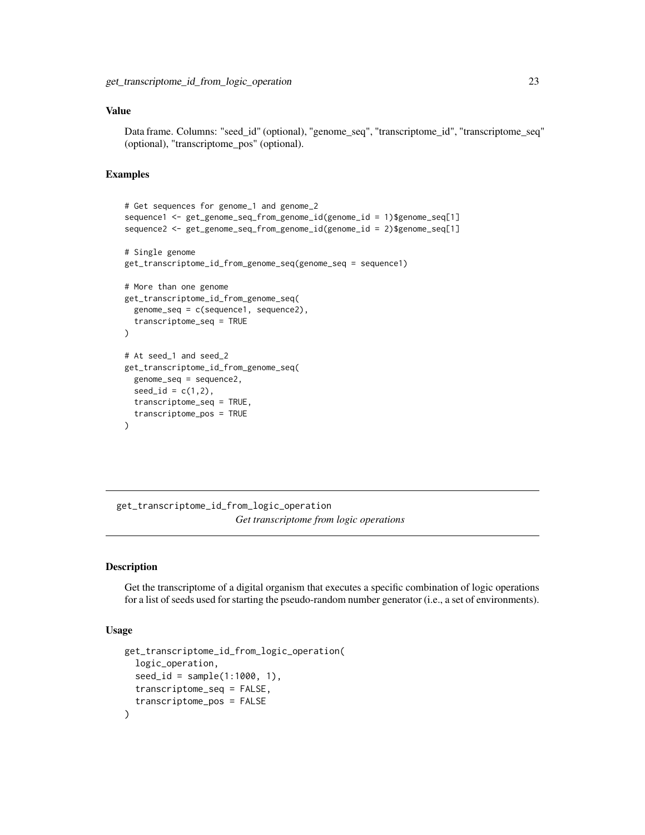## <span id="page-22-0"></span>Value

Data frame. Columns: "seed\_id" (optional), "genome\_seq", "transcriptome\_id", "transcriptome\_seq" (optional), "transcriptome\_pos" (optional).

#### Examples

```
# Get sequences for genome_1 and genome_2
sequence1 <- get_genome_seq_from_genome_id(genome_id = 1)$genome_seq[1]
sequence2 <- get_genome_seq_from_genome_id(genome_id = 2)$genome_seq[1]
# Single genome
get_transcriptome_id_from_genome_seq(genome_seq = sequence1)
# More than one genome
get_transcriptome_id_from_genome_seq(
  genome_seq = c(sequence1, sequence2),
  transcriptome_seq = TRUE
)
# At seed_1 and seed_2
get_transcriptome_id_from_genome_seq(
  genome_seq = sequence2,
  seed_id = c(1, 2),
  transcriptome_seq = TRUE,
  transcriptome_pos = TRUE
)
```
get\_transcriptome\_id\_from\_logic\_operation *Get transcriptome from logic operations*

## Description

Get the transcriptome of a digital organism that executes a specific combination of logic operations for a list of seeds used for starting the pseudo-random number generator (i.e., a set of environments).

```
get_transcriptome_id_from_logic_operation(
 logic_operation,
  seed_id = sample(1:1000, 1),transcriptome_seq = FALSE,
  transcriptome_pos = FALSE
)
```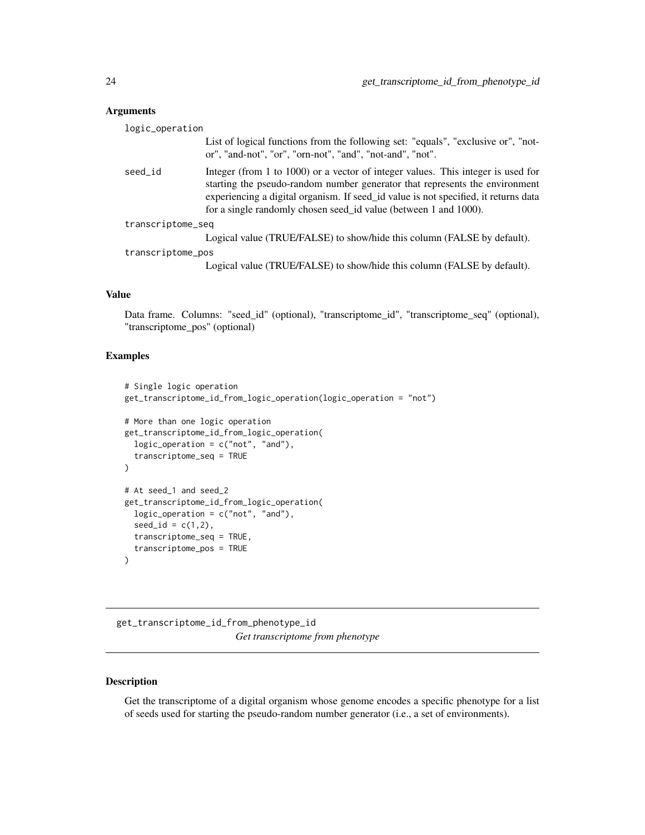<span id="page-23-0"></span>

| logic_operation   |                                                                                                                                                                                                                                                                                                                            |
|-------------------|----------------------------------------------------------------------------------------------------------------------------------------------------------------------------------------------------------------------------------------------------------------------------------------------------------------------------|
|                   | List of logical functions from the following set: "equals", "exclusive or", "not-<br>or", "and-not", "or", "orn-not", "and", "not-and", "not".                                                                                                                                                                             |
| seed_id           | Integer (from 1 to 1000) or a vector of integer values. This integer is used for<br>starting the pseudo-random number generator that represents the environment<br>experiencing a digital organism. If seed_id value is not specified, it returns data<br>for a single randomly chosen seed_id value (between 1 and 1000). |
| transcriptome_seq |                                                                                                                                                                                                                                                                                                                            |
|                   | Logical value (TRUE/FALSE) to show/hide this column (FALSE by default).                                                                                                                                                                                                                                                    |
| transcriptome_pos |                                                                                                                                                                                                                                                                                                                            |
|                   | Logical value (TRUE/FALSE) to show/hide this column (FALSE by default).                                                                                                                                                                                                                                                    |

## Value

Data frame. Columns: "seed\_id" (optional), "transcriptome\_id", "transcriptome\_seq" (optional), "transcriptome\_pos" (optional)

#### Examples

```
# Single logic operation
get_transcriptome_id_from_logic_operation(logic_operation = "not")
# More than one logic operation
get_transcriptome_id_from_logic_operation(
  logic_operation = c("not", "and"),
  transcriptome_seq = TRUE
)
# At seed_1 and seed_2
get_transcriptome_id_from_logic_operation(
 logic_operation = c("not", "and"),
  seed_id = c(1, 2),
  transcriptome_seq = TRUE,
  transcriptome_pos = TRUE
\mathcal{L}
```
get\_transcriptome\_id\_from\_phenotype\_id *Get transcriptome from phenotype*

## Description

Get the transcriptome of a digital organism whose genome encodes a specific phenotype for a list of seeds used for starting the pseudo-random number generator (i.e., a set of environments).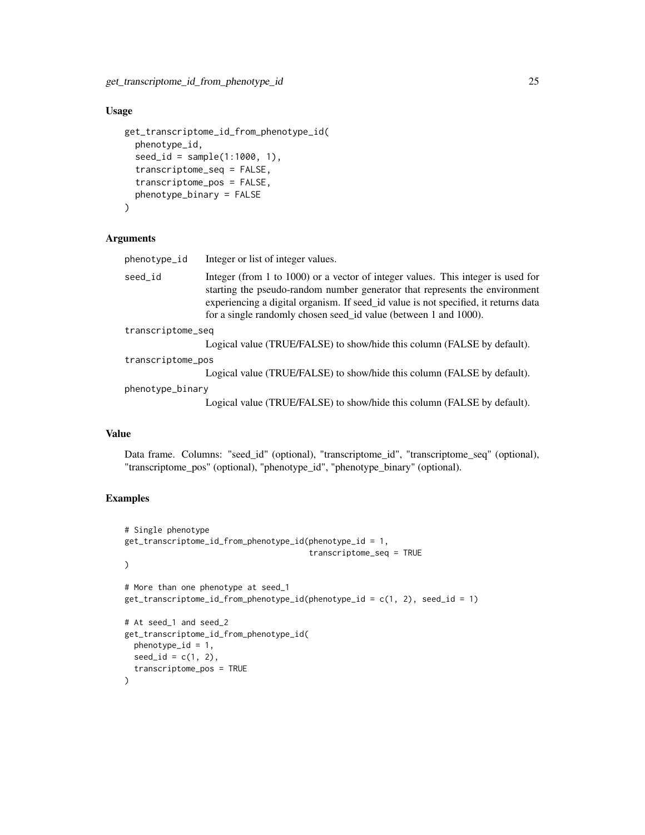#### Usage

```
get_transcriptome_id_from_phenotype_id(
  phenotype_id,
  seed_id = sample(1:1000, 1),transcriptome_seq = FALSE,
  transcriptome_pos = FALSE,
  phenotype_binary = FALSE
)
```
## Arguments

phenotype\_id Integer or list of integer values.

seed\_id Integer (from 1 to 1000) or a vector of integer values. This integer is used for starting the pseudo-random number generator that represents the environment experiencing a digital organism. If seed\_id value is not specified, it returns data for a single randomly chosen seed\_id value (between 1 and 1000).

transcriptome\_seq

Logical value (TRUE/FALSE) to show/hide this column (FALSE by default).

transcriptome\_pos

Logical value (TRUE/FALSE) to show/hide this column (FALSE by default).

phenotype\_binary

Logical value (TRUE/FALSE) to show/hide this column (FALSE by default).

#### Value

Data frame. Columns: "seed\_id" (optional), "transcriptome\_id", "transcriptome\_seq" (optional), "transcriptome\_pos" (optional), "phenotype\_id", "phenotype\_binary" (optional).

```
# Single phenotype
get_transcriptome_id_from_phenotype_id(phenotype_id = 1,
                                       transcriptome_seq = TRUE
)
# More than one phenotype at seed_1
get_transcriptome_id_from_phenotype_id(phenotype_id = c(1, 2), seed_id = 1)
# At seed_1 and seed_2
get_transcriptome_id_from_phenotype_id(
 phenotype_id = 1,
 seed_id = c(1, 2),
 transcriptome_pos = TRUE
)
```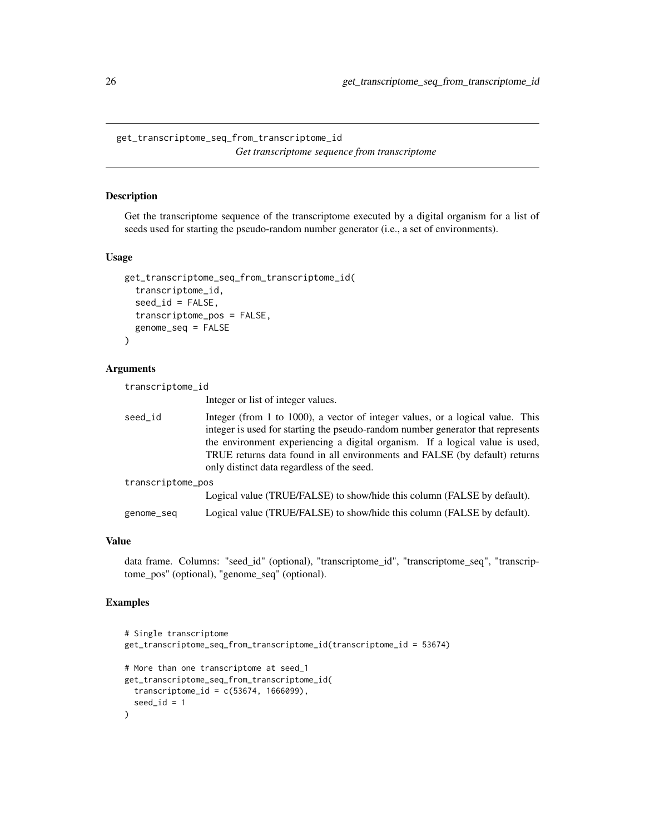<span id="page-25-0"></span>get\_transcriptome\_seq\_from\_transcriptome\_id *Get transcriptome sequence from transcriptome*

#### Description

Get the transcriptome sequence of the transcriptome executed by a digital organism for a list of seeds used for starting the pseudo-random number generator (i.e., a set of environments).

## Usage

```
get_transcriptome_seq_from_transcriptome_id(
 transcriptome_id,
 seed_id = FALSE,transcriptome_pos = FALSE,
 genome_seq = FALSE
)
```
#### Arguments

| transcriptome_id  |                                                                                                                                                                                                                                                                                                                                                                               |
|-------------------|-------------------------------------------------------------------------------------------------------------------------------------------------------------------------------------------------------------------------------------------------------------------------------------------------------------------------------------------------------------------------------|
|                   | Integer or list of integer values.                                                                                                                                                                                                                                                                                                                                            |
| seed_id           | Integer (from 1 to 1000), a vector of integer values, or a logical value. This<br>integer is used for starting the pseudo-random number generator that represents<br>the environment experiencing a digital organism. If a logical value is used,<br>TRUE returns data found in all environments and FALSE (by default) returns<br>only distinct data regardless of the seed. |
| transcriptome_pos |                                                                                                                                                                                                                                                                                                                                                                               |
|                   | Logical value (TRUE/FALSE) to show/hide this column (FALSE by default).                                                                                                                                                                                                                                                                                                       |
| genome_seq        | Logical value (TRUE/FALSE) to show/hide this column (FALSE by default).                                                                                                                                                                                                                                                                                                       |

## Value

data frame. Columns: "seed\_id" (optional), "transcriptome\_id", "transcriptome\_seq", "transcriptome\_pos" (optional), "genome\_seq" (optional).

```
# Single transcriptome
get_transcriptome_seq_from_transcriptome_id(transcriptome_id = 53674)
# More than one transcriptome at seed_1
get_transcriptome_seq_from_transcriptome_id(
  transcriptome_id = c(53674, 1666099),
  seed_id = 1)
```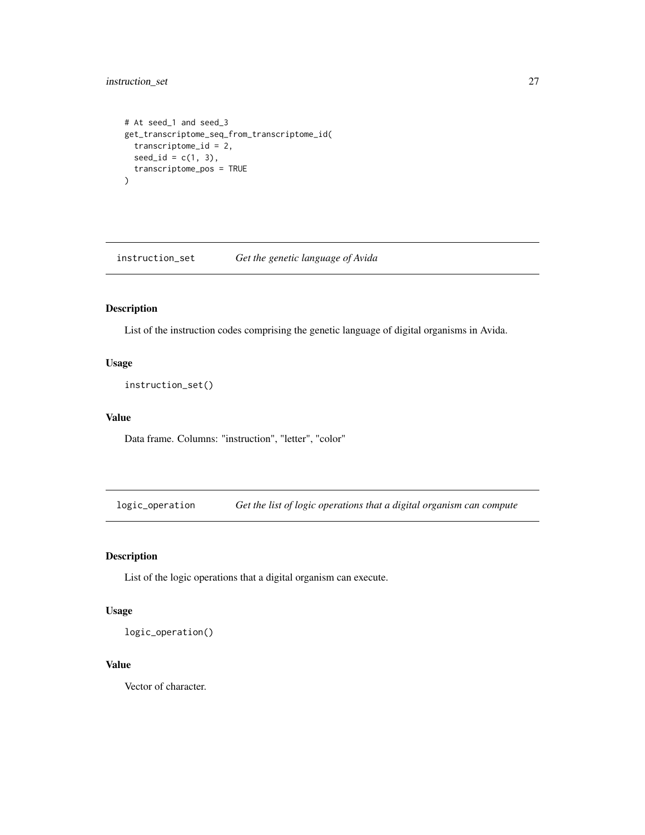## <span id="page-26-0"></span>instruction\_set 27

```
# At seed_1 and seed_3
get_transcriptome_seq_from_transcriptome_id(
  transcriptome_id = 2,
 seed_id = c(1, 3),transcriptome_pos = TRUE
)
```
instruction\_set *Get the genetic language of Avida*

## Description

List of the instruction codes comprising the genetic language of digital organisms in Avida.

## Usage

instruction\_set()

#### Value

Data frame. Columns: "instruction", "letter", "color"

logic\_operation *Get the list of logic operations that a digital organism can compute*

## Description

List of the logic operations that a digital organism can execute.

## Usage

logic\_operation()

## Value

Vector of character.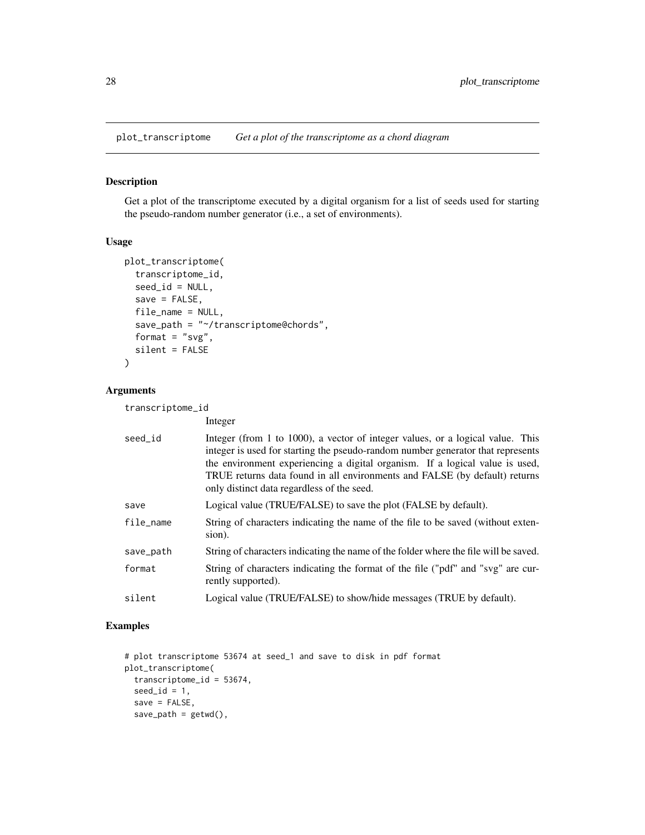<span id="page-27-0"></span>plot\_transcriptome *Get a plot of the transcriptome as a chord diagram*

#### Description

Get a plot of the transcriptome executed by a digital organism for a list of seeds used for starting the pseudo-random number generator (i.e., a set of environments).

#### Usage

```
plot_transcriptome(
  transcriptome_id,
 seed_id = NULL,save = FALSE,file_name = NULL,
 save_path = "~/transcriptome@chords",
 format = "svg",silent = FALSE
)
```
## Arguments

transcriptome\_id

|           | Integer                                                                                                                                                                                                                                                                                                                                                                       |
|-----------|-------------------------------------------------------------------------------------------------------------------------------------------------------------------------------------------------------------------------------------------------------------------------------------------------------------------------------------------------------------------------------|
| seed id   | Integer (from 1 to 1000), a vector of integer values, or a logical value. This<br>integer is used for starting the pseudo-random number generator that represents<br>the environment experiencing a digital organism. If a logical value is used,<br>TRUE returns data found in all environments and FALSE (by default) returns<br>only distinct data regardless of the seed. |
| save      | Logical value (TRUE/FALSE) to save the plot (FALSE by default).                                                                                                                                                                                                                                                                                                               |
| file_name | String of characters indicating the name of the file to be saved (without exten-<br>sion).                                                                                                                                                                                                                                                                                    |
| save_path | String of characters indicating the name of the folder where the file will be saved.                                                                                                                                                                                                                                                                                          |
| format    | String of characters indicating the format of the file ("pdf" and "svg" are cur-<br>rently supported).                                                                                                                                                                                                                                                                        |
| silent    | Logical value (TRUE/FALSE) to show/hide messages (TRUE by default).                                                                                                                                                                                                                                                                                                           |
|           |                                                                                                                                                                                                                                                                                                                                                                               |

```
# plot transcriptome 53674 at seed_1 and save to disk in pdf format
plot_transcriptome(
  transcriptome_id = 53674,
 seed_id = 1,
  save = FALSE,save\_path = getwd(),
```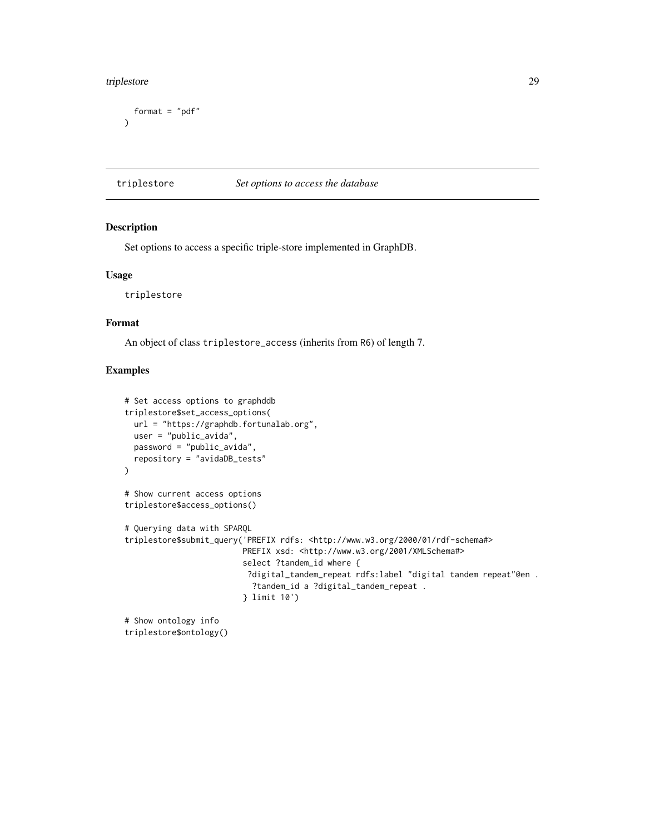#### <span id="page-28-0"></span>triplestore 29

```
format = "pdf"\mathcal{L}
```
triplestore *Set options to access the database*

#### Description

Set options to access a specific triple-store implemented in GraphDB.

#### Usage

triplestore

#### Format

An object of class triplestore\_access (inherits from R6) of length 7.

## Examples

```
# Set access options to graphddb
triplestore$set_access_options(
 url = "https://graphdb.fortunalab.org",
 user = "public_avida",
  password = "public_avida",
  repository = "avidaDB_tests"
)
# Show current access options
triplestore$access_options()
# Querying data with SPARQL
triplestore$submit_query('PREFIX rdfs: <http://www.w3.org/2000/01/rdf-schema#>
                         PREFIX xsd: <http://www.w3.org/2001/XMLSchema#>
                         select ?tandem_id where {
                          ?digital_tandem_repeat rdfs:label "digital tandem repeat"@en .
                           ?tandem_id a ?digital_tandem_repeat .
                         } limit 10')
# Show ontology info
```
triplestore\$ontology()